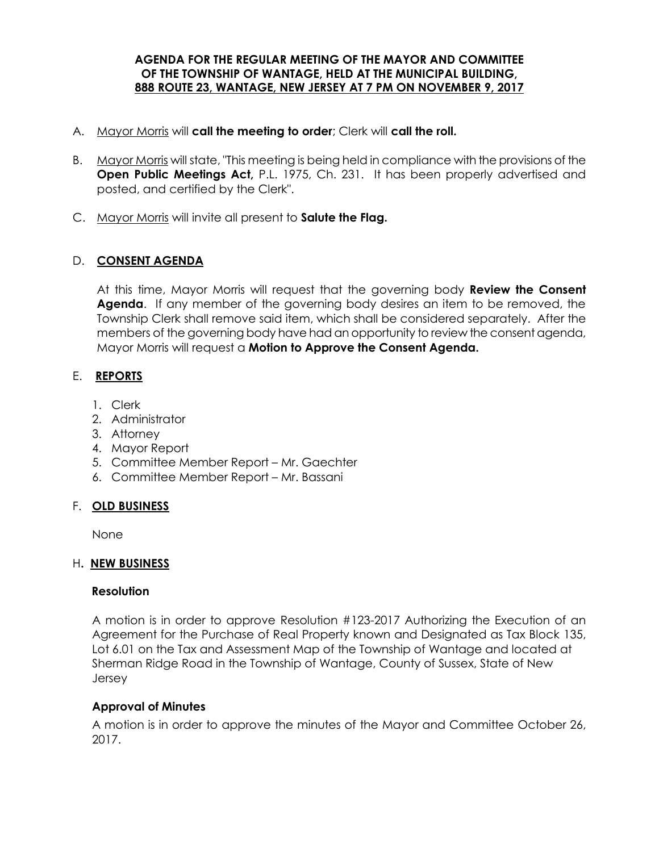#### **AGENDA FOR THE REGULAR MEETING OF THE MAYOR AND COMMITTEE OF THE TOWNSHIP OF WANTAGE, HELD AT THE MUNICIPAL BUILDING, 888 ROUTE 23, WANTAGE, NEW JERSEY AT 7 PM ON NOVEMBER 9, 2017**

- A. Mayor Morris will **call the meeting to order**; Clerk will **call the roll.**
- B. Mayor Morris will state, "This meeting is being held in compliance with the provisions of the **Open Public Meetings Act,** P.L. 1975, Ch. 231. It has been properly advertised and posted, and certified by the Clerk".
- C. Mayor Morris will invite all present to **Salute the Flag.**

## D. **CONSENT AGENDA**

At this time, Mayor Morris will request that the governing body **Review the Consent Agenda**. If any member of the governing body desires an item to be removed, the Township Clerk shall remove said item, which shall be considered separately. After the members of the governing body have had an opportunity to review the consent agenda, Mayor Morris will request a **Motion to Approve the Consent Agenda.** 

# E. **REPORTS**

- 1. Clerk
- 2. Administrator
- 3. Attorney
- 4. Mayor Report
- 5. Committee Member Report Mr. Gaechter
- 6. Committee Member Report Mr. Bassani

## F. **OLD BUSINESS**

None

## H**. NEW BUSINESS**

#### **Resolution**

 A motion is in order to approve Resolution #123-2017 Authorizing the Execution of an Agreement for the Purchase of Real Property known and Designated as Tax Block 135, Lot 6.01 on the Tax and Assessment Map of the Township of Wantage and located at Sherman Ridge Road in the Township of Wantage, County of Sussex, State of New Jersey

## **Approval of Minutes**

A motion is in order to approve the minutes of the Mayor and Committee October 26, 2017.